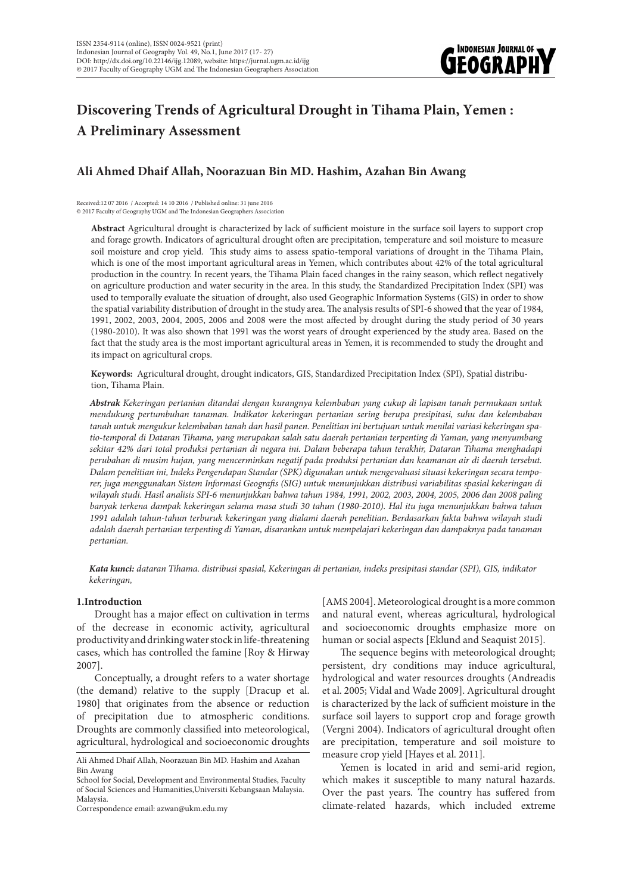

# **Discovering Trends of Agricultural Drought in Tihama Plain, Yemen : A Preliminary Assessment**

# **Ali Ahmed Dhaif Allah, Noorazuan Bin MD. Hashim, Azahan Bin Awang**

Received:12 07 2016 / Accepted: 14 10 2016 / Published online: 31 june 2016 © 2017 Faculty of Geography UGM and The Indonesian Geographers Association

**Abstract** Agricultural drought is characterized by lack of sufficient moisture in the surface soil layers to support crop and forage growth. Indicators of agricultural drought often are precipitation, temperature and soil moisture to measure soil moisture and crop yield. This study aims to assess spatio-temporal variations of drought in the Tihama Plain, which is one of the most important agricultural areas in Yemen, which contributes about 42% of the total agricultural production in the country. In recent years, the Tihama Plain faced changes in the rainy season, which reflect negatively on agriculture production and water security in the area. In this study, the Standardized Precipitation Index (SPI) was used to temporally evaluate the situation of drought, also used Geographic Information Systems (GIS) in order to show the spatial variability distribution of drought in the study area. The analysis results of SPI-6 showed that the year of 1984, 1991, 2002, 2003, 2004, 2005, 2006 and 2008 were the most affected by drought during the study period of 30 years (1980-2010). It was also shown that 1991 was the worst years of drought experienced by the study area. Based on the fact that the study area is the most important agricultural areas in Yemen, it is recommended to study the drought and its impact on agricultural crops.

**Keywords:** Agricultural drought, drought indicators, GIS, Standardized Precipitation Index (SPI), Spatial distribution, Tihama Plain.

*Abstrak Kekeringan pertanian ditandai dengan kurangnya kelembaban yang cukup di lapisan tanah permukaan untuk mendukung pertumbuhan tanaman. Indikator kekeringan pertanian sering berupa presipitasi, suhu dan kelembaban tanah untuk mengukur kelembaban tanah dan hasil panen. Penelitian ini bertujuan untuk menilai variasi kekeringan spatio-temporal di Dataran Tihama, yang merupakan salah satu daerah pertanian terpenting di Yaman, yang menyumbang sekitar 42% dari total produksi pertanian di negara ini. Dalam beberapa tahun terakhir, Dataran Tihama menghadapi perubahan di musim hujan, yang mencerminkan negatif pada produksi pertanian dan keamanan air di daerah tersebut. Dalam penelitian ini, Indeks Pengendapan Standar (SPK) digunakan untuk mengevaluasi situasi kekeringan secara temporer, juga menggunakan Sistem Informasi Geografis (SIG) untuk menunjukkan distribusi variabilitas spasial kekeringan di wilayah studi. Hasil analisis SPI-6 menunjukkan bahwa tahun 1984, 1991, 2002, 2003, 2004, 2005, 2006 dan 2008 paling banyak terkena dampak kekeringan selama masa studi 30 tahun (1980-2010). Hal itu juga menunjukkan bahwa tahun 1991 adalah tahun-tahun terburuk kekeringan yang dialami daerah penelitian. Berdasarkan fakta bahwa wilayah studi adalah daerah pertanian terpenting di Yaman, disarankan untuk mempelajari kekeringan dan dampaknya pada tanaman pertanian.*

*Kata kunci: dataran Tihama. distribusi spasial, Kekeringan di pertanian, indeks presipitasi standar (SPI), GIS, indikator kekeringan,* 

## **1.Introduction**

Drought has a major effect on cultivation in terms of the decrease in economic activity, agricultural productivity and drinking water stock in life-threatening cases, which has controlled the famine [Roy & Hirway 2007].

Conceptually, a drought refers to a water shortage (the demand) relative to the supply [Dracup et al. 1980] that originates from the absence or reduction of precipitation due to atmospheric conditions. Droughts are commonly classified into meteorological, agricultural, hydrological and socioeconomic droughts

Correspondence email: azwan@ukm.edu.my

[AMS 2004]. Meteorological drought is a more common and natural event, whereas agricultural, hydrological and socioeconomic droughts emphasize more on human or social aspects [Eklund and Seaquist 2015].

The sequence begins with meteorological drought; persistent, dry conditions may induce agricultural, hydrological and water resources droughts (Andreadis et al. 2005; Vidal and Wade 2009]. Agricultural drought is characterized by the lack of sufficient moisture in the surface soil layers to support crop and forage growth (Vergni 2004). Indicators of agricultural drought often are precipitation, temperature and soil moisture to measure crop yield [Hayes et al. 2011].

Yemen is located in arid and semi-arid region, which makes it susceptible to many natural hazards. Over the past years. The country has suffered from climate-related hazards, which included extreme

Ali Ahmed Dhaif Allah, Noorazuan Bin MD. Hashim and Azahan Bin Awang

School for Social, Development and Environmental Studies, Faculty of Social Sciences and Humanities,Universiti Kebangsaan Malaysia. Malaysia.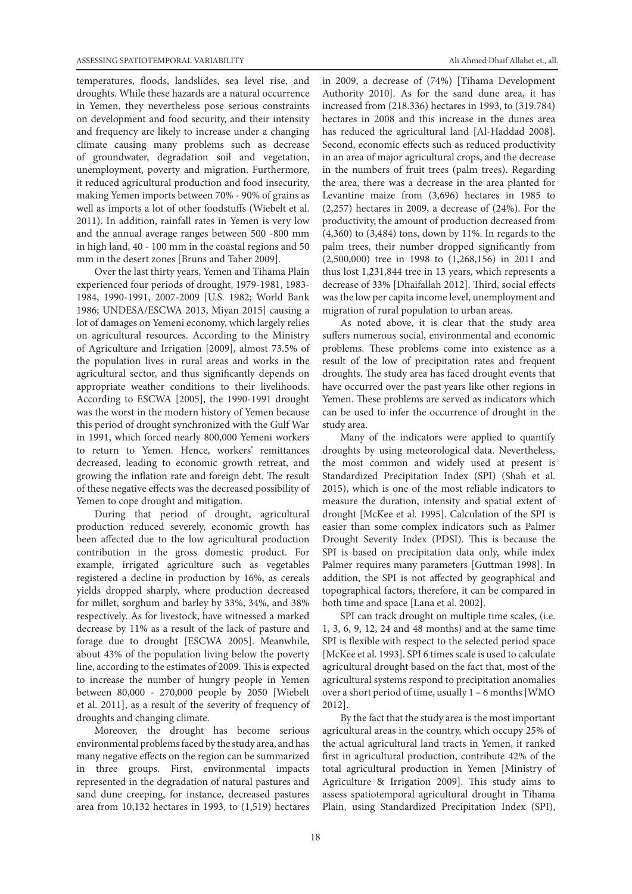temperatures, floods, landslides, sea level rise, and droughts. While these hazards are a natural occurrence in Yemen, they nevertheless pose serious constraints on development and food security, and their intensity and frequency are likely to increase under a changing climate causing many problems such as decrease of groundwater, degradation soil and vegetation, unemployment, poverty and migration. Furthermore, it reduced agricultural production and food insecurity, making Yemen imports between 70% - 90% of grains as well as imports a lot of other foodstuffs (Wiebelt et al. 2011). In addition, rainfall rates in Yemen is very low and the annual average ranges between 500 -800 mm in high land, 40 - 100 mm in the coastal regions and 50 mm in the desert zones [Bruns and Taher 2009].

Over the last thirty years, Yemen and Tihama Plain experienced four periods of drought, 1979-1981, 1983- 1984, 1990-1991, 2007-2009 [U.S. 1982; World Bank 1986; UNDESA/ESCWA 2013, Miyan 2015] causing a lot of damages on Yemeni economy, which largely relies on agricultural resources. According to the Ministry of Agriculture and Irrigation [2009], almost 73.5% of the population lives in rural areas and works in the agricultural sector, and thus significantly depends on appropriate weather conditions to their livelihoods. According to ESCWA [2005], the 1990-1991 drought was the worst in the modern history of Yemen because this period of drought synchronized with the Gulf War in 1991, which forced nearly 800,000 Yemeni workers to return to Yemen. Hence, workers' remittances decreased, leading to economic growth retreat, and growing the inflation rate and foreign debt. The result of these negative effects was the decreased possibility of Yemen to cope drought and mitigation.

During that period of drought, agricultural production reduced severely, economic growth has been affected due to the low agricultural production contribution in the gross domestic product. For example, irrigated agriculture such as vegetables registered a decline in production by 16%, as cereals yields dropped sharply, where production decreased for millet, sorghum and barley by 33%, 34%, and 38% respectively. As for livestock, have witnessed a marked decrease by 11% as a result of the lack of pasture and forage due to drought [ESCWA 2005]. Meanwhile, about 43% of the population living below the poverty line, according to the estimates of 2009. This is expected to increase the number of hungry people in Yemen between 80,000 - 270,000 people by 2050 [Wiebelt et al. 2011], as a result of the severity of frequency of droughts and changing climate.

Moreover, the drought has become serious environmental problems faced by the study area, and has many negative effects on the region can be summarized in three groups. First, environmental impacts represented in the degradation of natural pastures and sand dune creeping, for instance, decreased pastures area from 10,132 hectares in 1993, to (1,519) hectares in 2009, a decrease of (74%) [Tihama Development Authority 2010]. As for the sand dune area, it has increased from (218.336) hectares in 1993, to (319.784) hectares in 2008 and this increase in the dunes area has reduced the agricultural land [Al-Haddad 2008]. Second, economic effects such as reduced productivity in an area of major agricultural crops, and the decrease in the numbers of fruit trees (palm trees). Regarding the area, there was a decrease in the area planted for Levantine maize from (3,696) hectares in 1985 to (2,257) hectares in 2009, a decrease of (24%). For the productivity, the amount of production decreased from (4,360) to (3,484) tons, down by 11%. In regards to the palm trees, their number dropped significantly from (2,500,000) tree in 1998 to (1,268,156) in 2011 and thus lost 1,231,844 tree in 13 years, which represents a decrease of 33% [Dhaifallah 2012]. Third, social effects was the low per capita income level, unemployment and migration of rural population to urban areas.

As noted above, it is clear that the study area suffers numerous social, environmental and economic problems. These problems come into existence as a result of the low of precipitation rates and frequent droughts. The study area has faced drought events that have occurred over the past years like other regions in Yemen. These problems are served as indicators which can be used to infer the occurrence of drought in the study area.

Many of the indicators were applied to quantify droughts by using meteorological data. Nevertheless, the most common and widely used at present is Standardized Precipitation Index (SPI) (Shah et al. 2015), which is one of the most reliable indicators to measure the duration, intensity and spatial extent of drought [McKee et al. 1995]. Calculation of the SPI is easier than some complex indicators such as Palmer Drought Severity Index (PDSI). This is because the SPI is based on precipitation data only, while index Palmer requires many parameters [Guttman 1998]. In addition, the SPI is not affected by geographical and topographical factors, therefore, it can be compared in both time and space [Lana et al. 2002].

SPI can track drought on multiple time scales, (i.e. 1, 3, 6, 9, 12, 24 and 48 months) and at the same time SPI is flexible with respect to the selected period space [McKee et al. 1993]. SPI 6 times scale is used to calculate agricultural drought based on the fact that, most of the agricultural systems respond to precipitation anomalies over a short period of time, usually 1 – 6 months [WMO 2012].

By the fact that the study area is the most important agricultural areas in the country, which occupy 25% of the actual agricultural land tracts in Yemen, it ranked first in agricultural production, contribute 42% of the total agricultural production in Yemen [Ministry of Agriculture & Irrigation 2009]. This study aims to assess spatiotemporal agricultural drought in Tihama Plain, using Standardized Precipitation Index (SPI),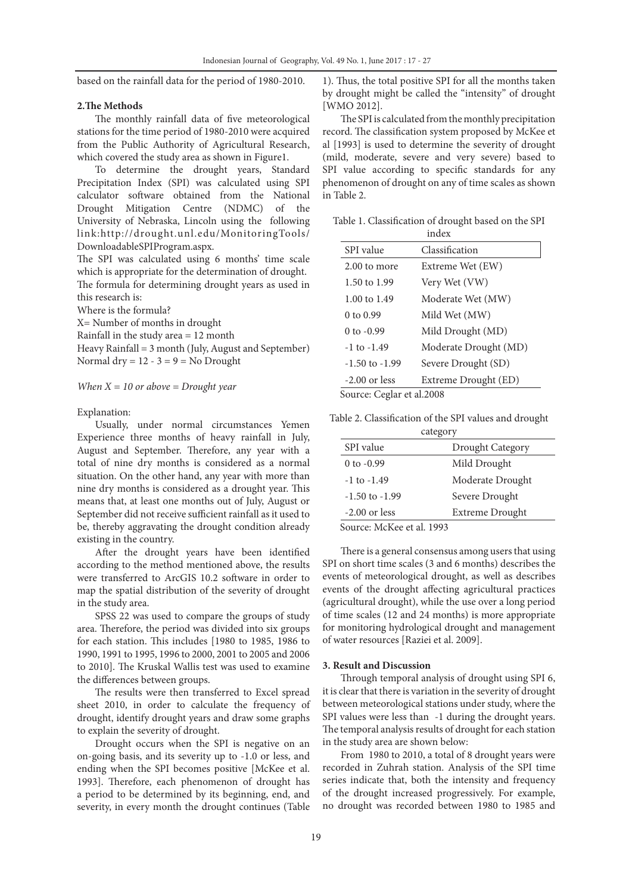based on the rainfall data for the period of 1980-2010.

#### **2.The Methods**

The monthly rainfall data of five meteorological stations for the time period of 1980-2010 were acquired from the Public Authority of Agricultural Research, which covered the study area as shown in Figure1.

To determine the drought years, Standard Precipitation Index (SPI) was calculated using SPI calculator software obtained from the National Drought Mitigation Centre (NDMC) of the University of Nebraska, Lincoln using the following link:http://drought.unl.edu/MonitoringTools/ DownloadableSPIProgram.aspx.

The SPI was calculated using 6 months' time scale which is appropriate for the determination of drought. The formula for determining drought years as used in this research is:

Where is the formula?

X= Number of months in drought

Rainfall in the study area = 12 month

Heavy Rainfall = 3 month (July, August and September) Normal dry =  $12 - 3 = 9 =$  No Drought

*When X = 10 or above = Drought year*

#### Explanation:

Usually, under normal circumstances Yemen Experience three months of heavy rainfall in July, August and September. Therefore, any year with a total of nine dry months is considered as a normal situation. On the other hand, any year with more than nine dry months is considered as a drought year. This means that, at least one months out of July, August or September did not receive sufficient rainfall as it used to be, thereby aggravating the drought condition already existing in the country.

After the drought years have been identified according to the method mentioned above, the results were transferred to ArcGIS 10.2 software in order to map the spatial distribution of the severity of drought in the study area.

SPSS 22 was used to compare the groups of study area. Therefore, the period was divided into six groups for each station. This includes [1980 to 1985, 1986 to 1990, 1991 to 1995, 1996 to 2000, 2001 to 2005 and 2006 to 2010]. The Kruskal Wallis test was used to examine the differences between groups.

The results were then transferred to Excel spread sheet 2010, in order to calculate the frequency of drought, identify drought years and draw some graphs to explain the severity of drought.

Drought occurs when the SPI is negative on an on-going basis, and its severity up to -1.0 or less, and ending when the SPI becomes positive [McKee et al. 1993]. Therefore, each phenomenon of drought has a period to be determined by its beginning, end, and severity, in every month the drought continues (Table 1). Thus, the total positive SPI for all the months taken by drought might be called the "intensity" of drought [WMO 2012].

The SPI is calculated from the monthly precipitation record. The classification system proposed by McKee et al [1993] is used to determine the severity of drought (mild, moderate, severe and very severe) based to SPI value according to specific standards for any phenomenon of drought on any of time scales as shown in Table 2.

Table 1. Classification of drought based on the SPI

| index                          |                       |  |  |  |
|--------------------------------|-----------------------|--|--|--|
| SPI value                      | Classification        |  |  |  |
| 2.00 to more                   | Extreme Wet (EW)      |  |  |  |
| 1.50 to 1.99                   | Very Wet (VW)         |  |  |  |
| 1.00 to 1.49                   | Moderate Wet (MW)     |  |  |  |
| $0 \text{ to } 0.99$           | Mild Wet (MW)         |  |  |  |
| $0$ to $-0.99$                 | Mild Drought (MD)     |  |  |  |
| $-1$ to $-1.49$                | Moderate Drought (MD) |  |  |  |
| $-1.50$ to $-1.99$             | Severe Drought (SD)   |  |  |  |
| $-2.00$ or less                | Extreme Drought (ED)  |  |  |  |
| $\sim$ $\sim$ $1 \cdot 1$ 2000 |                       |  |  |  |

Source: Ceglar et al.2008

Table 2. Classification of the SPI values and drought

| category                               |                  |  |  |  |
|----------------------------------------|------------------|--|--|--|
| SPI value                              | Drought Category |  |  |  |
| $0$ to $-0.99$                         | Mild Drought     |  |  |  |
| $-1$ to $-1.49$                        | Moderate Drought |  |  |  |
| $-1.50$ to $-1.99$                     | Severe Drought   |  |  |  |
| $-2.00$ or less                        | Extreme Drought  |  |  |  |
| $\mathcal{C}$ MIT $\mathcal{C}$ 1,1000 |                  |  |  |  |

Source: McKee et al. 1993

There is a general consensus among users that using SPI on short time scales (3 and 6 months) describes the events of meteorological drought, as well as describes events of the drought affecting agricultural practices (agricultural drought), while the use over a long period of time scales (12 and 24 months) is more appropriate for monitoring hydrological drought and management of water resources [Raziei et al. 2009].

### **3. Result and Discussion**

Through temporal analysis of drought using SPI 6, it is clear that there is variation in the severity of drought between meteorological stations under study, where the SPI values were less than -1 during the drought years. The temporal analysis results of drought for each station in the study area are shown below:

From 1980 to 2010, a total of 8 drought years were recorded in Zuhrah station. Analysis of the SPI time series indicate that, both the intensity and frequency of the drought increased progressively. For example, no drought was recorded between 1980 to 1985 and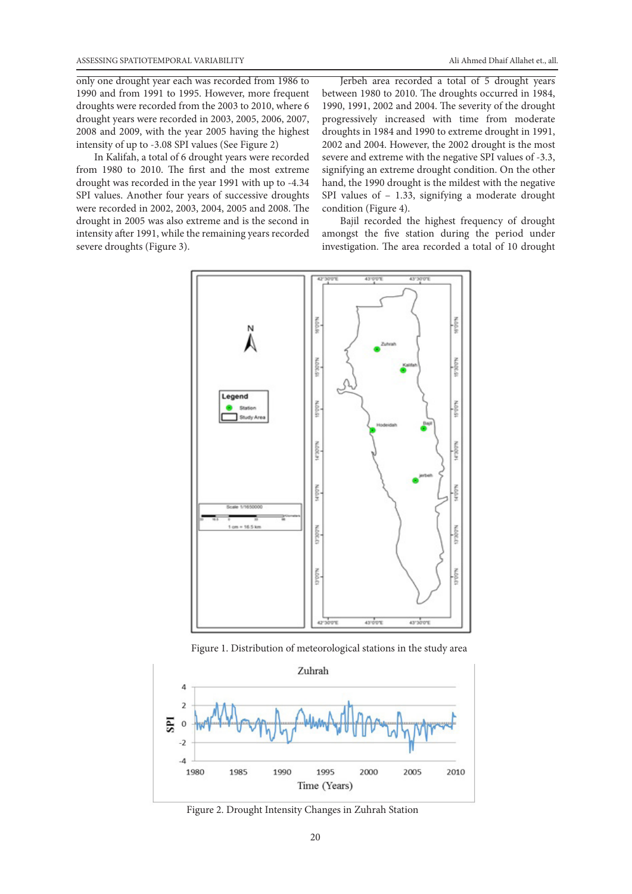only one drought year each was recorded from 1986 to 1990 and from 1991 to 1995. However, more frequent droughts were recorded from the 2003 to 2010, where 6 drought years were recorded in 2003, 2005, 2006, 2007, 2008 and 2009, with the year 2005 having the highest intensity of up to -3.08 SPI values (See Figure 2)

In Kalifah, a total of 6 drought years were recorded from 1980 to 2010. The first and the most extreme drought was recorded in the year 1991 with up to -4.34 SPI values. Another four years of successive droughts were recorded in 2002, 2003, 2004, 2005 and 2008. The drought in 2005 was also extreme and is the second in intensity after 1991, while the remaining years recorded severe droughts (Figure 3).

Jerbeh area recorded a total of 5 drought years between 1980 to 2010. The droughts occurred in 1984, 1990, 1991, 2002 and 2004. The severity of the drought progressively increased with time from moderate droughts in 1984 and 1990 to extreme drought in 1991, 2002 and 2004. However, the 2002 drought is the most severe and extreme with the negative SPI values of -3.3, signifying an extreme drought condition. On the other hand, the 1990 drought is the mildest with the negative SPI values of – 1.33, signifying a moderate drought condition (Figure 4).

Bajil recorded the highest frequency of drought amongst the five station during the period under investigation. The area recorded a total of 10 drought



Figure 1. Distribution of meteorological stations in the study area



Figure 2. Drought Intensity Changes in Zuhrah Station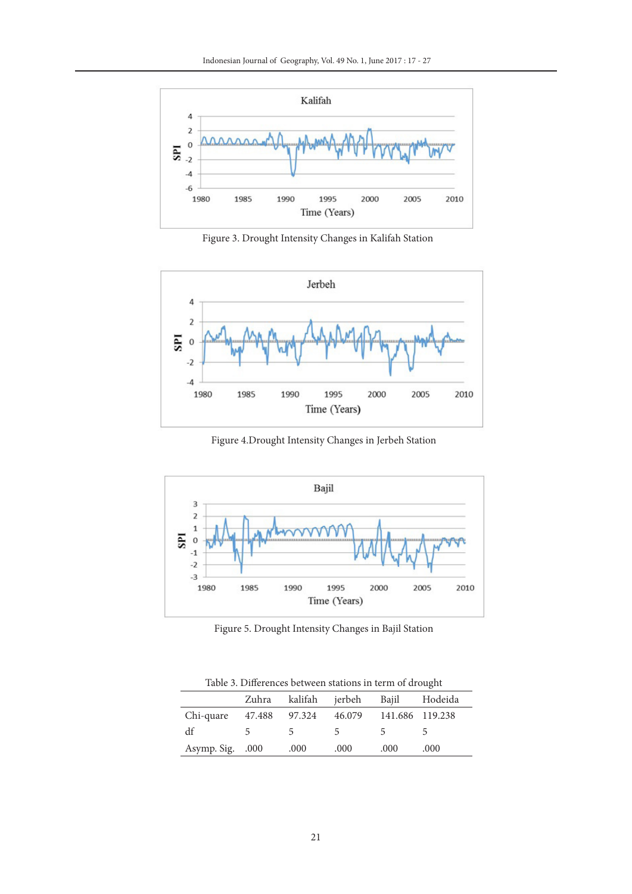

Figure 3. Drought Intensity Changes in Kalifah Station



Figure 4.Drought Intensity Changes in Jerbeh Station



Figure 5. Drought Intensity Changes in Bajil Station

Table 3. Differences between stations in term of drought

| twore of 20 miles eneed overflown ofwitched in textil of wrowgitt |               |               |                          |                        |         |  |  |
|-------------------------------------------------------------------|---------------|---------------|--------------------------|------------------------|---------|--|--|
|                                                                   | Zuhra         | kalifah       | ierbeh                   | Bajil                  | Hodeida |  |  |
| Chi-quare                                                         | 47.488 97.324 |               |                          | 46.079 141.686 119.238 |         |  |  |
| df                                                                |               | $\mathcal{L}$ | $\overline{\phantom{a}}$ | 5                      |         |  |  |
| Asymp. Sig. .000                                                  |               | .000          | .000                     | .000                   | .000    |  |  |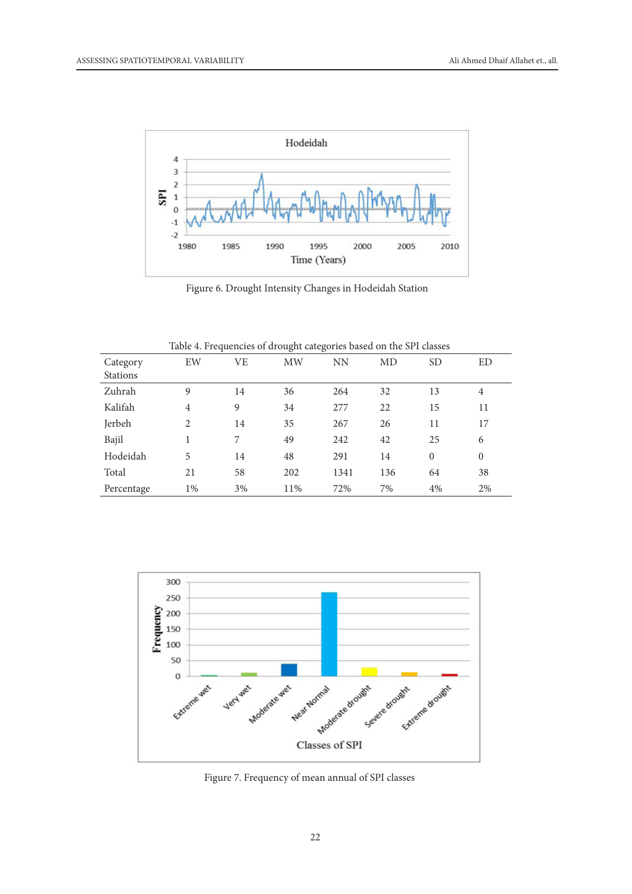

Figure 6. Drought Intensity Changes in Hodeidah Station

|                             |                |           | $\circ$   | $\sigma$ |     |              |                |
|-----------------------------|----------------|-----------|-----------|----------|-----|--------------|----------------|
| Category<br><b>Stations</b> | EW             | <b>VE</b> | <b>MW</b> | NN       | MD  | <b>SD</b>    | <b>ED</b>      |
| Zuhrah                      | 9              | 14        | 36        | 264      | 32  | 13           | 4              |
| Kalifah                     | $\overline{4}$ | 9         | 34        | 277      | 22  | 15           | 11             |
| Jerbeh                      | 2              | 14        | 35        | 267      | 26  | 11           | 17             |
| Bajil                       |                | 7         | 49        | 242      | 42  | 25           | 6              |
| Hodeidah                    | 5              | 14        | 48        | 291      | 14  | $\mathbf{0}$ | $\overline{0}$ |
| Total                       | 21             | 58        | 202       | 1341     | 136 | 64           | 38             |
| Percentage                  | $1\%$          | 3%        | 11%       | 72%      | 7%  | 4%           | 2%             |

Table 4. Frequencies of drought categories based on the SPI classes



Figure 7. Frequency of mean annual of SPI classes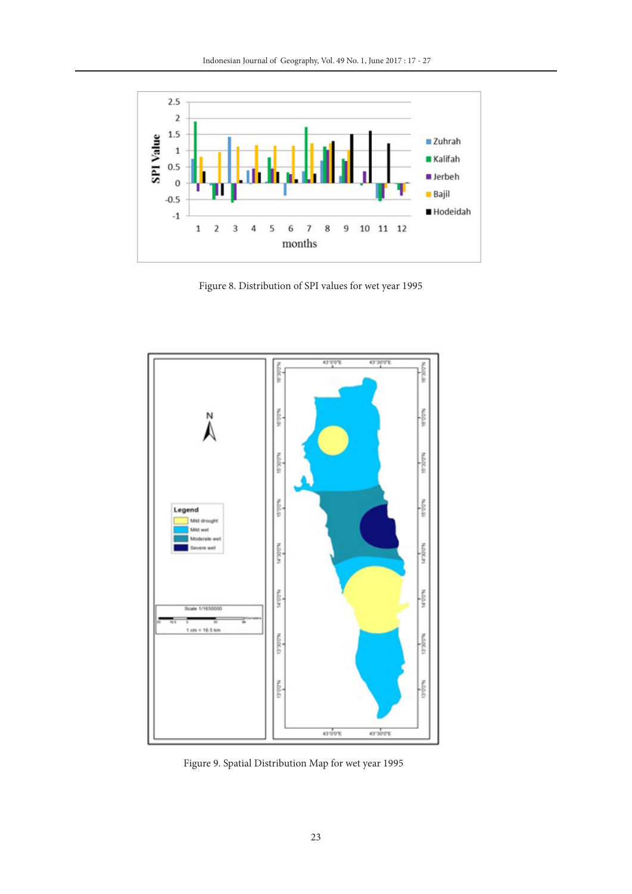

Figure 8. Distribution of SPI values for wet year 1995



Figure 9. Spatial Distribution Map for wet year 1995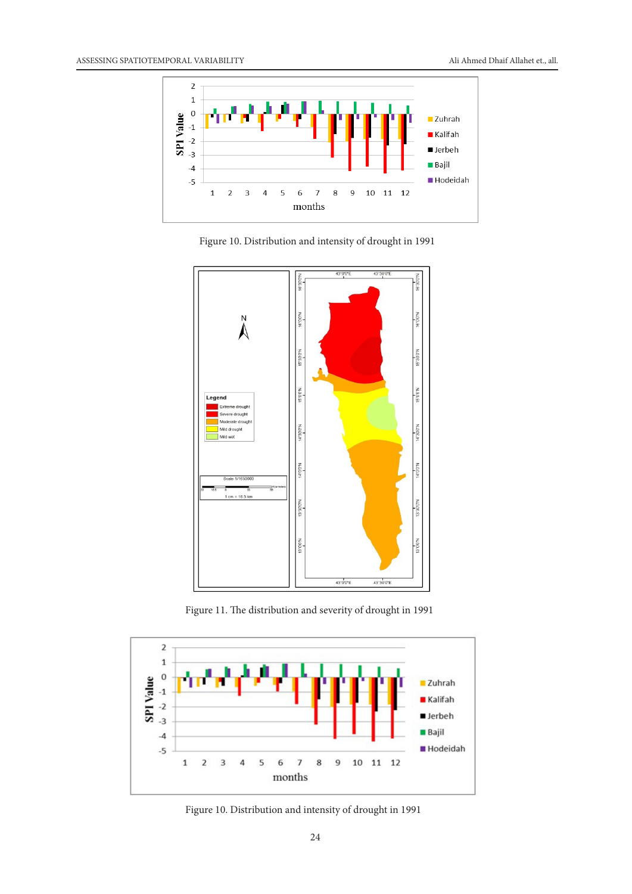

Figure 10. Distribution and intensity of drought in 1991



Figure 11. The distribution and severity of drought in 1991



Figure 10. Distribution and intensity of drought in 1991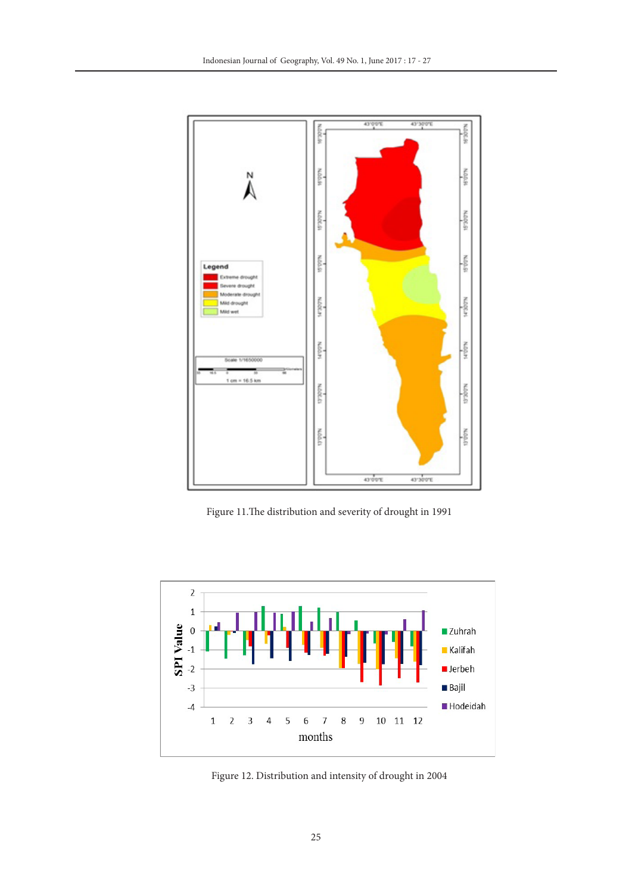

Figure 11.The distribution and severity of drought in 1991



Figure 12. Distribution and intensity of drought in 2004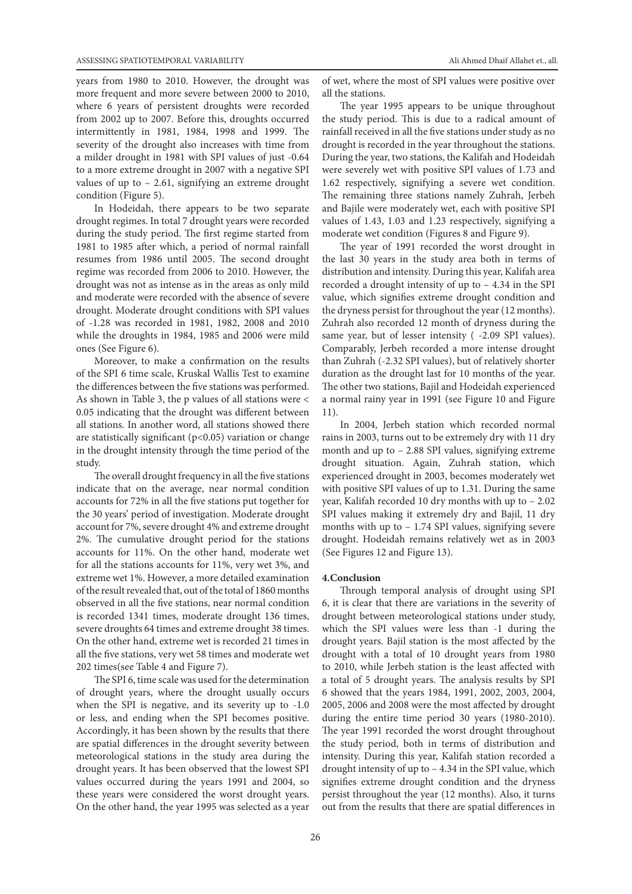years from 1980 to 2010. However, the drought was more frequent and more severe between 2000 to 2010, where 6 years of persistent droughts were recorded from 2002 up to 2007. Before this, droughts occurred intermittently in 1981, 1984, 1998 and 1999. The severity of the drought also increases with time from a milder drought in 1981 with SPI values of just -0.64 to a more extreme drought in 2007 with a negative SPI values of up to – 2.61, signifying an extreme drought condition (Figure 5).

In Hodeidah, there appears to be two separate drought regimes. In total 7 drought years were recorded during the study period. The first regime started from 1981 to 1985 after which, a period of normal rainfall resumes from 1986 until 2005. The second drought regime was recorded from 2006 to 2010. However, the drought was not as intense as in the areas as only mild and moderate were recorded with the absence of severe drought. Moderate drought conditions with SPI values of -1.28 was recorded in 1981, 1982, 2008 and 2010 while the droughts in 1984, 1985 and 2006 were mild ones (See Figure 6).

Moreover, to make a confirmation on the results of the SPI 6 time scale, Kruskal Wallis Test to examine the differences between the five stations was performed. As shown in Table 3, the p values of all stations were < 0.05 indicating that the drought was different between all stations. In another word, all stations showed there are statistically significant ( $p<0.05$ ) variation or change in the drought intensity through the time period of the study.

The overall drought frequency in all the five stations indicate that on the average, near normal condition accounts for 72% in all the five stations put together for the 30 years' period of investigation. Moderate drought account for 7%, severe drought 4% and extreme drought 2%. The cumulative drought period for the stations accounts for 11%. On the other hand, moderate wet for all the stations accounts for 11%, very wet 3%, and extreme wet 1%. However, a more detailed examination of the result revealed that, out of the total of 1860 months observed in all the five stations, near normal condition is recorded 1341 times, moderate drought 136 times, severe droughts 64 times and extreme drought 38 times. On the other hand, extreme wet is recorded 21 times in all the five stations, very wet 58 times and moderate wet 202 times(see Table 4 and Figure 7).

The SPI 6, time scale was used for the determination of drought years, where the drought usually occurs when the SPI is negative, and its severity up to -1.0 or less, and ending when the SPI becomes positive. Accordingly, it has been shown by the results that there are spatial differences in the drought severity between meteorological stations in the study area during the drought years. It has been observed that the lowest SPI values occurred during the years 1991 and 2004, so these years were considered the worst drought years. On the other hand, the year 1995 was selected as a year

of wet, where the most of SPI values were positive over all the stations.

The year 1995 appears to be unique throughout the study period. This is due to a radical amount of rainfall received in all the five stations under study as no drought is recorded in the year throughout the stations. During the year, two stations, the Kalifah and Hodeidah were severely wet with positive SPI values of 1.73 and 1.62 respectively, signifying a severe wet condition. The remaining three stations namely Zuhrah, Jerbeh and Bajile were moderately wet, each with positive SPI values of 1.43, 1.03 and 1.23 respectively, signifying a moderate wet condition (Figures 8 and Figure 9).

The year of 1991 recorded the worst drought in the last 30 years in the study area both in terms of distribution and intensity. During this year, Kalifah area recorded a drought intensity of up to – 4.34 in the SPI value, which signifies extreme drought condition and the dryness persist for throughout the year (12 months). Zuhrah also recorded 12 month of dryness during the same year, but of lesser intensity ( -2.09 SPI values). Comparably, Jerbeh recorded a more intense drought than Zuhrah (-2.32 SPI values), but of relatively shorter duration as the drought last for 10 months of the year. The other two stations, Bajil and Hodeidah experienced a normal rainy year in 1991 (see Figure 10 and Figure 11).

In 2004, Jerbeh station which recorded normal rains in 2003, turns out to be extremely dry with 11 dry month and up to – 2.88 SPI values, signifying extreme drought situation. Again, Zuhrah station, which experienced drought in 2003, becomes moderately wet with positive SPI values of up to 1.31. During the same year, Kalifah recorded 10 dry months with up to – 2.02 SPI values making it extremely dry and Bajil, 11 dry months with up to – 1.74 SPI values, signifying severe drought. Hodeidah remains relatively wet as in 2003 (See Figures 12 and Figure 13).

#### **4.Conclusion**

Through temporal analysis of drought using SPI 6, it is clear that there are variations in the severity of drought between meteorological stations under study, which the SPI values were less than -1 during the drought years. Bajil station is the most affected by the drought with a total of 10 drought years from 1980 to 2010, while Jerbeh station is the least affected with a total of 5 drought years. The analysis results by SPI 6 showed that the years 1984, 1991, 2002, 2003, 2004, 2005, 2006 and 2008 were the most affected by drought during the entire time period 30 years (1980-2010). The year 1991 recorded the worst drought throughout the study period, both in terms of distribution and intensity. During this year, Kalifah station recorded a drought intensity of up to – 4.34 in the SPI value, which signifies extreme drought condition and the dryness persist throughout the year (12 months). Also, it turns out from the results that there are spatial differences in